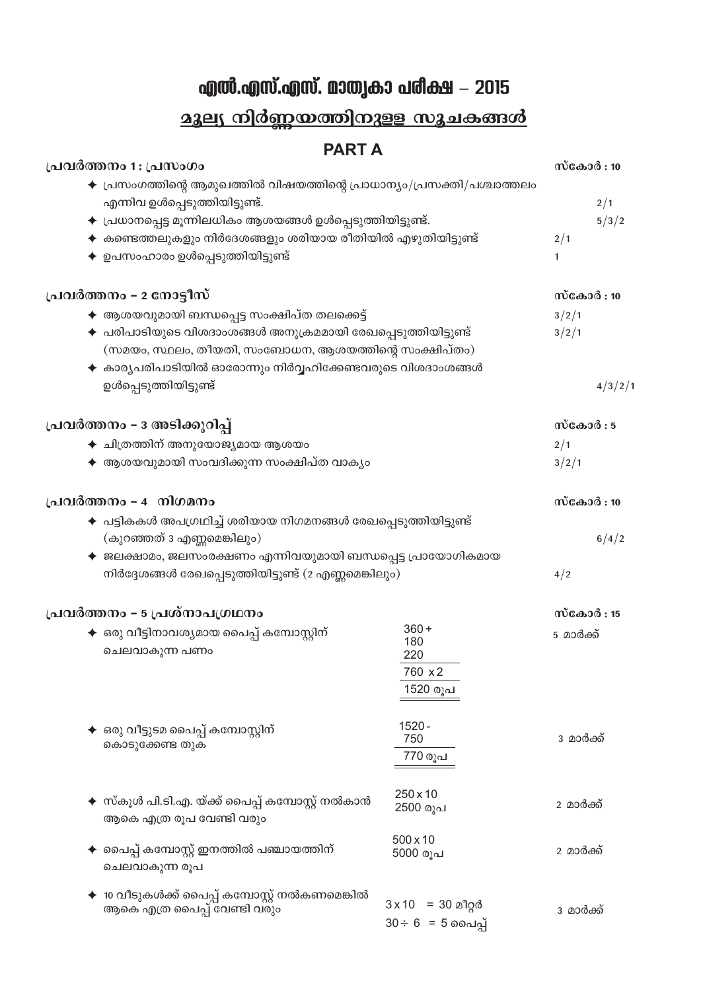## എൽ.എസ്.എസ്. മാതൃകാ പരീക്ഷ - 2015

## <u> മൂല്യ നിർണ്ണയത്തിനുള്ള സൂചകങ്ങൾ</u>

## **PARTA**

| പ്രവർത്തനം 1 : പ്രസംഗം                                                               |                                              |              | സ്കോർ : 10 |  |
|--------------------------------------------------------------------------------------|----------------------------------------------|--------------|------------|--|
| $\blacklozenge$ പ്രസംഗത്തിന്റെ ആമുഖത്തിൽ വിഷയത്തിന്റെ പ്രാധാന്യം/പ്രസക്തി/പശ്ചാത്തലം |                                              |              |            |  |
| എന്നിവ ഉൾപ്പെടുത്തിയിട്ടുണ്ട്.                                                       |                                              |              | 2/1        |  |
| $\blacklozenge$ പ്രധാനപ്പെട്ട മൂന്നിലധികം ആശയങ്ങൾ ഉൾപ്പെടുത്തിയിട്ടുണ്ട്.            |                                              |              | 5/3/2      |  |
| $\blacklozenge$ കണ്ടെത്തലുകളും നിർദേശങ്ങളും ശരിയായ രീതിയിൽ എഴുതിയിട്ടുണ്ട്           |                                              |              |            |  |
| ഉപസംഹാരം ഉൾപ്പെടുത്തിയിട്ടുണ്ട്                                                      |                                              |              |            |  |
|                                                                                      |                                              |              |            |  |
| പ്രവർത്തനം – 2 നോട്ടീസ്                                                              |                                              | സ്കോർ : 10   |            |  |
| $\blacklozenge$ ആശയവുമായി ബന്ധപ്പെട്ട സംക്ഷിപ്ത തലക്കെട്ട്                           |                                              | 3/2/1        |            |  |
| $\blacklozenge$ പരിപാടിയുടെ വിശദാംശങ്ങൾ അനുക്രമമായി രേഖപ്പെടുത്തിയിട്ടുണ്ട്          |                                              |              |            |  |
| (സമയം, സ്ഥലം, തീയതി, സംബോധന, ആശയത്തിന്റെ സംക്ഷിപ്തം)                                 |                                              |              |            |  |
| $\blacklozenge$ കാര്യപരിപാടിയിൽ ഓരോന്നും നിർവ്വഹിക്കേണ്ടവരുടെ വിശദാംശങ്ങൾ            |                                              |              |            |  |
| ഉൾപ്പെടുത്തിയിട്ടുണ്ട്                                                               |                                              |              | 4/3/2/1    |  |
| പ്രവർത്തനം - 3 അടിക്കുറിപ്പ്                                                         |                                              | സ്കോർ $:5$   |            |  |
|                                                                                      |                                              |              |            |  |
|                                                                                      | $\blacklozenge$ ചിത്രത്തിന് അനുയോജ്യമായ ആശയം |              |            |  |
| $\blacklozenge$ ആശയവുമായി സംവദിക്കുന്ന സംക്ഷിപ്ത വാകൃം                               |                                              | 3/2/1        |            |  |
| പ്രവർത്തനം - 4 നിഗമനം                                                                |                                              | സ്കോർ $: 10$ |            |  |
| $\,\blacklozenge\,$ പട്ടികകൾ അപഗ്രഥിച്ച് ശരിയായ നിഗമനങ്ങൾ രേഖപ്പെടുത്തിയിട്ടുണ്ട്    |                                              |              |            |  |
| (കുറഞ്ഞത് 3 എണ്ണമെങ്കിലും)                                                           |                                              |              |            |  |
| $\blacklozenge$ ജലക്ഷാമം, ജലസംരക്ഷണം എന്നിവയുമായി ബന്ധപ്പെട്ട പ്രായോഗികമായ           |                                              |              | 6/4/2      |  |
| നിർദ്ദേശങ്ങൾ രേഖപ്പെടുത്തിയിട്ടുണ്ട് (2 എണ്ണമെങ്കിലും)                               |                                              | 4/2          |            |  |
|                                                                                      |                                              |              |            |  |
| പ്രവർത്തനം – 5 പ്രശ്നാപഗ്രഥനം                                                        |                                              | സ്കോർ : 15   |            |  |
| ✦ ഒരു വീട്ടിനാവശ്യമായ പൈപ്പ് കമ്പോസ്റ്റിന്                                           | $360 +$                                      | 5 മാർക്ക്    |            |  |
| ചെലവാകുന്ന പണം                                                                       | 180<br>220                                   |              |            |  |
|                                                                                      | 760 x 2                                      |              |            |  |
|                                                                                      | 1520 രൂപ                                     |              |            |  |
|                                                                                      |                                              |              |            |  |
|                                                                                      | $1520 -$                                     |              |            |  |
| ഒരു വീട്ടുടമ പൈപ്പ് കമ്പോസ്റ്റിന്<br>കൊടുക്കേണ്ട തുക                                 | 750                                          | 3 മാർക്ക്    |            |  |
|                                                                                      | 770 രൂപ                                      |              |            |  |
|                                                                                      |                                              |              |            |  |
|                                                                                      | 250 x 10                                     |              |            |  |
| ✦ സ്കൂൾ പി.ടി.എ. യ്ക്ക് പൈപ്പ് കമ്പോസ്റ്റ് നൽകാൻ                                     | 2500 രൂപ                                     | 2 മാർക്ക്    |            |  |
| ആകെ എത്ര രൂപ വേണ്ടി വരും                                                             |                                              |              |            |  |
| പൈപ്പ് കമ്പോസ്റ്റ് ഇനത്തിൽ പഞ്ചായത്തിന്                                              | $500 \times 10$<br>5000 രൂപ                  | 2 മാർക്ക്    |            |  |
| ചെലവാകുന്ന രൂപ                                                                       |                                              |              |            |  |
|                                                                                      |                                              |              |            |  |
| 10 വീടുകൾക്ക് പൈപ്പ് കമ്പോസ്റ്റ് നൽകണമെങ്കിൽ                                         | $3 \times 10 = 30$ മീറ്റർ                    |              |            |  |
| ആകെ എത്ര പൈപ്പ് വേണ്ടി വരും                                                          | $30 \div 6 = 5$ ചൈപ്പ്                       | 3 മാർക്ക്    |            |  |
|                                                                                      |                                              |              |            |  |